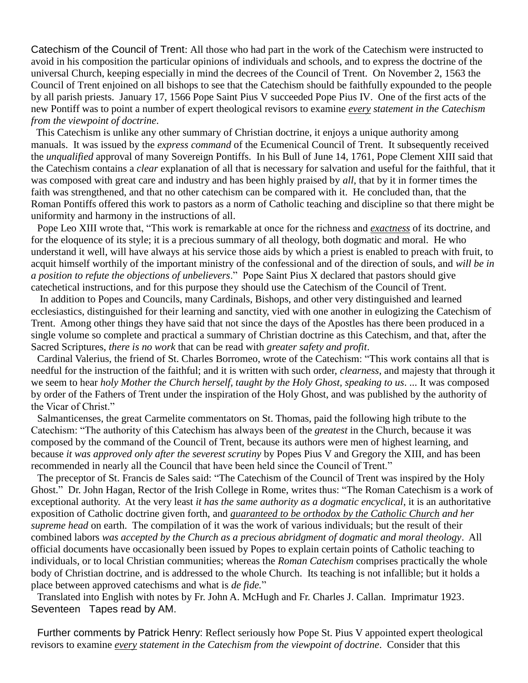Catechism of the Council of Trent: All those who had part in the work of the Catechism were instructed to avoid in his composition the particular opinions of individuals and schools, and to express the doctrine of the universal Church, keeping especially in mind the decrees of the Council of Trent. On November 2, 1563 the Council of Trent enjoined on all bishops to see that the Catechism should be faithfully expounded to the people by all parish priests. January 17, 1566 Pope Saint Pius V succeeded Pope Pius IV. One of the first acts of the new Pontiff was to point a number of expert theological revisors to examine *every statement in the Catechism from the viewpoint of doctrine*.

 This Catechism is unlike any other summary of Christian doctrine, it enjoys a unique authority among manuals. It was issued by the *express command* of the Ecumenical Council of Trent. It subsequently received the *unqualified* approval of many Sovereign Pontiffs. In his Bull of June 14, 1761, Pope Clement XIII said that the Catechism contains a *clear* explanation of all that is necessary for salvation and useful for the faithful, that it was composed with great care and industry and has been highly praised by *all*, that by it in former times the faith was strengthened, and that no other catechism can be compared with it. He concluded than, that the Roman Pontiffs offered this work to pastors as a norm of Catholic teaching and discipline so that there might be uniformity and harmony in the instructions of all.

Pope Leo XIII wrote that, "This work is remarkable at once for the richness and *exactness* of its doctrine, and for the eloquence of its style; it is a precious summary of all theology, both dogmatic and moral. He who understand it well, will have always at his service those aids by which a priest is enabled to preach with fruit, to acquit himself worthily of the important ministry of the confessional and of the direction of souls, and *will be in a position to refute the objections of unbelievers*." Pope Saint Pius X declared that pastors should give catechetical instructions, and for this purpose they should use the Catechism of the Council of Trent.

In addition to Popes and Councils, many Cardinals, Bishops, and other very distinguished and learned ecclesiastics, distinguished for their learning and sanctity, vied with one another in eulogizing the Catechism of Trent. Among other things they have said that not since the days of the Apostles has there been produced in a single volume so complete and practical a summary of Christian doctrine as this Catechism, and that, after the Sacred Scriptures, *there is no work* that can be read with *greater safety and profit*.

Cardinal Valerius, the friend of St. Charles Borromeo, wrote of the Catechism: "This work contains all that is needful for the instruction of the faithful; and it is written with such order, *clearness*, and majesty that through it we seem to hear *holy Mother the Church herself, taught by the Holy Ghost, speaking to us*. ... It was composed by order of the Fathers of Trent under the inspiration of the Holy Ghost, and was published by the authority of the Vicar of Christ."

Salmanticenses, the great Carmelite commentators on St. Thomas, paid the following high tribute to the Catechism: "The authority of this Catechism has always been of the *greatest* in the Church, because it was composed by the command of the Council of Trent, because its authors were men of highest learning, and because *it was approved only after the severest scrutiny* by Popes Pius V and Gregory the XIII, and has been recommended in nearly all the Council that have been held since the Council of Trent."

The preceptor of St. Francis de Sales said: "The Catechism of the Council of Trent was inspired by the Holy Ghost." Dr. John Hagan, Rector of the Irish College in Rome, writes thus: "The Roman Catechism is a work of exceptional authority. At the very least *it has the same authority as a dogmatic encyclical*, it is an authoritative exposition of Catholic doctrine given forth, and *guaranteed to be orthodox by the Catholic Church and her supreme head* on earth. The compilation of it was the work of various individuals; but the result of their combined labors *was accepted by the Church as a precious abridgment of dogmatic and moral theology*. All official documents have occasionally been issued by Popes to explain certain points of Catholic teaching to individuals, or to local Christian communities; whereas the *Roman Catechism* comprises practically the whole body of Christian doctrine, and is addressed to the whole Church. Its teaching is not infallible; but it holds a place between approved catechisms and what is *de fide.*"

Translated into English with notes by Fr. John A. McHugh and Fr. Charles J. Callan. Imprimatur 1923. Seventeen Tapes read by AM.

Further comments by Patrick Henry: Reflect seriously how Pope St. Pius V appointed expert theological revisors to examine *every statement in the Catechism from the viewpoint of doctrine*. Consider that this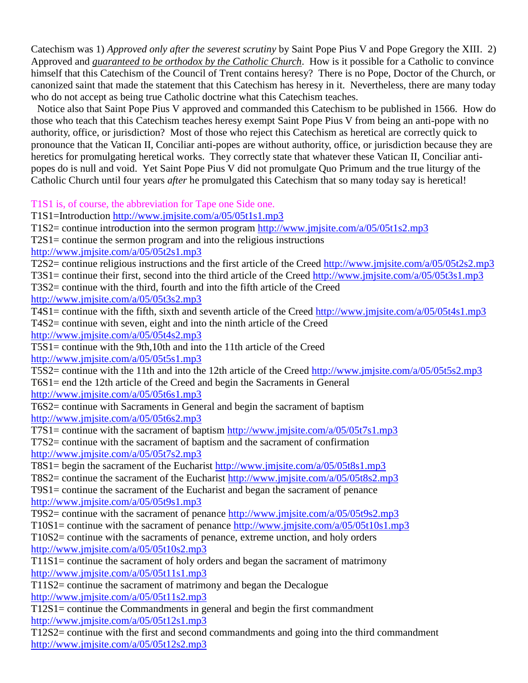Catechism was 1) *Approved only after the severest scrutiny* by Saint Pope Pius V and Pope Gregory the XIII. 2) Approved and *guaranteed to be orthodox by the Catholic Church*. How is it possible for a Catholic to convince himself that this Catechism of the Council of Trent contains heresy? There is no Pope, Doctor of the Church, or canonized saint that made the statement that this Catechism has heresy in it. Nevertheless, there are many today who do not accept as being true Catholic doctrine what this Catechism teaches.

Notice also that Saint Pope Pius V approved and commanded this Catechism to be published in 1566. How do those who teach that this Catechism teaches heresy exempt Saint Pope Pius V from being an anti-pope with no authority, office, or jurisdiction? Most of those who reject this Catechism as heretical are correctly quick to pronounce that the Vatican II, Conciliar anti-popes are without authority, office, or jurisdiction because they are heretics for promulgating heretical works. They correctly state that whatever these Vatican II, Conciliar antipopes do is null and void. Yet Saint Pope Pius V did not promulgate Quo Primum and the true liturgy of the Catholic Church until four years *after* he promulgated this Catechism that so many today say is heretical!

T1S1 is, of course, the abbreviation for Tape one Side one.

T1S1=Introduction <http://www.jmjsite.com/a/05/05t1s1.mp3>

T1S2= continue introduction into the sermon program <http://www.jmjsite.com/a/05/05t1s2.mp3>

T2S1= continue the sermon program and into the religious instructions

<http://www.jmjsite.com/a/05/05t2s1.mp3>

T2S2= continue religious instructions and the first article of the Creed <http://www.jmjsite.com/a/05/05t2s2.mp3> T3S1= continue their first, second into the third article of the Creed <http://www.jmjsite.com/a/05/05t3s1.mp3> T3S2= continue with the third, fourth and into the fifth article of the Creed

<http://www.jmjsite.com/a/05/05t3s2.mp3>

T4S1= continue with the fifth, sixth and seventh article of the Creed <http://www.jmjsite.com/a/05/05t4s1.mp3> T4S2= continue with seven, eight and into the ninth article of the Creed

<http://www.jmjsite.com/a/05/05t4s2.mp3>

T5S1= continue with the 9th,10th and into the 11th article of the Creed <http://www.jmjsite.com/a/05/05t5s1.mp3>

T5S2= continue with the 11th and into the 12th article of the Creed <http://www.jmjsite.com/a/05/05t5s2.mp3> T6S1= end the 12th article of the Creed and begin the Sacraments in General

<http://www.jmjsite.com/a/05/05t6s1.mp3>

T6S2= continue with Sacraments in General and begin the sacrament of baptism <http://www.jmjsite.com/a/05/05t6s2.mp3>

T7S1= continue with the sacrament of baptism <http://www.jmjsite.com/a/05/05t7s1.mp3>

T7S2= continue with the sacrament of baptism and the sacrament of confirmation <http://www.jmjsite.com/a/05/05t7s2.mp3>

T8S1= begin the sacrament of the Eucharist <http://www.jmjsite.com/a/05/05t8s1.mp3>

T8S2= continue the sacrament of the Eucharist <http://www.jmjsite.com/a/05/05t8s2.mp3>

T9S1= continue the sacrament of the Eucharist and began the sacrament of penance <http://www.jmjsite.com/a/05/05t9s1.mp3>

T9S2= continue with the sacrament of penance <http://www.jmjsite.com/a/05/05t9s2.mp3>

T10S1= continue with the sacrament of penance <http://www.jmjsite.com/a/05/05t10s1.mp3>

T10S2= continue with the sacraments of penance, extreme unction, and holy orders <http://www.jmjsite.com/a/05/05t10s2.mp3>

T11S1= continue the sacrament of holy orders and began the sacrament of matrimony <http://www.jmjsite.com/a/05/05t11s1.mp3>

T11S2= continue the sacrament of matrimony and began the Decalogue <http://www.jmjsite.com/a/05/05t11s2.mp3>

T12S1= continue the Commandments in general and begin the first commandment <http://www.jmjsite.com/a/05/05t12s1.mp3>

T12S2= continue with the first and second commandments and going into the third commandment <http://www.jmjsite.com/a/05/05t12s2.mp3>